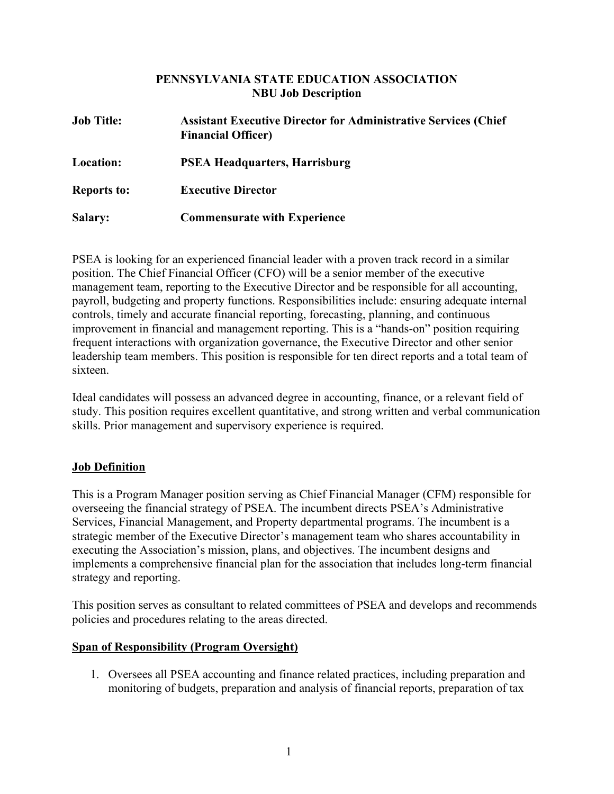#### **PENNSYLVANIA STATE EDUCATION ASSOCIATION NBU Job Description**

| <b>Job Title:</b>  | <b>Assistant Executive Director for Administrative Services (Chief</b><br><b>Financial Officer)</b> |
|--------------------|-----------------------------------------------------------------------------------------------------|
| <b>Location:</b>   | <b>PSEA Headquarters, Harrisburg</b>                                                                |
| <b>Reports to:</b> | <b>Executive Director</b>                                                                           |
| <b>Salary:</b>     | <b>Commensurate with Experience</b>                                                                 |

PSEA is looking for an experienced financial leader with a proven track record in a similar position. The Chief Financial Officer (CFO) will be a senior member of the executive management team, reporting to the Executive Director and be responsible for all accounting, payroll, budgeting and property functions. Responsibilities include: ensuring adequate internal controls, timely and accurate financial reporting, forecasting, planning, and continuous improvement in financial and management reporting. This is a "hands-on" position requiring frequent interactions with organization governance, the Executive Director and other senior leadership team members. This position is responsible for ten direct reports and a total team of sixteen.

Ideal candidates will possess an advanced degree in accounting, finance, or a relevant field of study. This position requires excellent quantitative, and strong written and verbal communication skills. Prior management and supervisory experience is required.

## **Job Definition**

This is a Program Manager position serving as Chief Financial Manager (CFM) responsible for overseeing the financial strategy of PSEA. The incumbent directs PSEA's Administrative Services, Financial Management, and Property departmental programs. The incumbent is a strategic member of the Executive Director's management team who shares accountability in executing the Association's mission, plans, and objectives. The incumbent designs and implements a comprehensive financial plan for the association that includes long-term financial strategy and reporting.

This position serves as consultant to related committees of PSEA and develops and recommends policies and procedures relating to the areas directed.

## **Span of Responsibility (Program Oversight)**

1. Oversees all PSEA accounting and finance related practices, including preparation and monitoring of budgets, preparation and analysis of financial reports, preparation of tax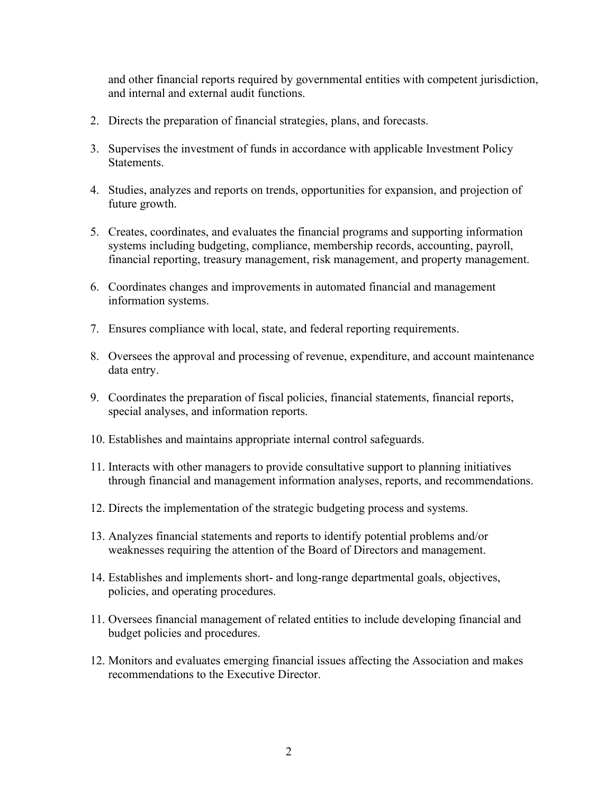and other financial reports required by governmental entities with competent jurisdiction, and internal and external audit functions.

- 2. Directs the preparation of financial strategies, plans, and forecasts.
- 3. Supervises the investment of funds in accordance with applicable Investment Policy Statements.
- 4. Studies, analyzes and reports on trends, opportunities for expansion, and projection of future growth.
- 5. Creates, coordinates, and evaluates the financial programs and supporting information systems including budgeting, compliance, membership records, accounting, payroll, financial reporting, treasury management, risk management, and property management.
- 6. Coordinates changes and improvements in automated financial and management information systems.
- 7. Ensures compliance with local, state, and federal reporting requirements.
- 8. Oversees the approval and processing of revenue, expenditure, and account maintenance data entry.
- 9. Coordinates the preparation of fiscal policies, financial statements, financial reports, special analyses, and information reports.
- 10. Establishes and maintains appropriate internal control safeguards.
- 11. Interacts with other managers to provide consultative support to planning initiatives through financial and management information analyses, reports, and recommendations.
- 12. Directs the implementation of the strategic budgeting process and systems.
- 13. Analyzes financial statements and reports to identify potential problems and/or weaknesses requiring the attention of the Board of Directors and management.
- 14. Establishes and implements short- and long-range departmental goals, objectives, policies, and operating procedures.
- 11. Oversees financial management of related entities to include developing financial and budget policies and procedures.
- 12. Monitors and evaluates emerging financial issues affecting the Association and makes recommendations to the Executive Director.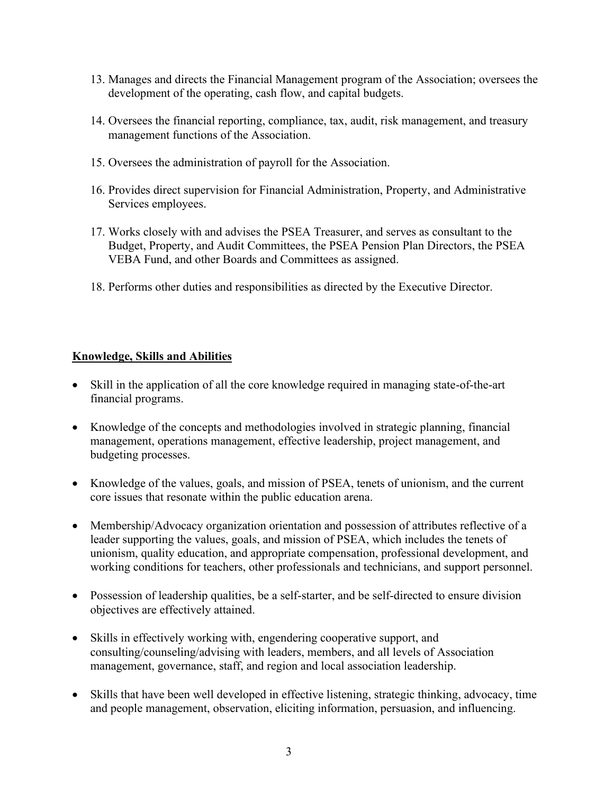- 13. Manages and directs the Financial Management program of the Association; oversees the development of the operating, cash flow, and capital budgets.
- 14. Oversees the financial reporting, compliance, tax, audit, risk management, and treasury management functions of the Association.
- 15. Oversees the administration of payroll for the Association.
- 16. Provides direct supervision for Financial Administration, Property, and Administrative Services employees.
- 17. Works closely with and advises the PSEA Treasurer, and serves as consultant to the Budget, Property, and Audit Committees, the PSEA Pension Plan Directors, the PSEA VEBA Fund, and other Boards and Committees as assigned.
- 18. Performs other duties and responsibilities as directed by the Executive Director.

#### **Knowledge, Skills and Abilities**

- Skill in the application of all the core knowledge required in managing state-of-the-art financial programs.
- Knowledge of the concepts and methodologies involved in strategic planning, financial management, operations management, effective leadership, project management, and budgeting processes.
- Knowledge of the values, goals, and mission of PSEA, tenets of unionism, and the current core issues that resonate within the public education arena.
- Membership/Advocacy organization orientation and possession of attributes reflective of a leader supporting the values, goals, and mission of PSEA, which includes the tenets of unionism, quality education, and appropriate compensation, professional development, and working conditions for teachers, other professionals and technicians, and support personnel.
- Possession of leadership qualities, be a self-starter, and be self-directed to ensure division objectives are effectively attained.
- Skills in effectively working with, engendering cooperative support, and consulting/counseling/advising with leaders, members, and all levels of Association management, governance, staff, and region and local association leadership.
- Skills that have been well developed in effective listening, strategic thinking, advocacy, time and people management, observation, eliciting information, persuasion, and influencing.